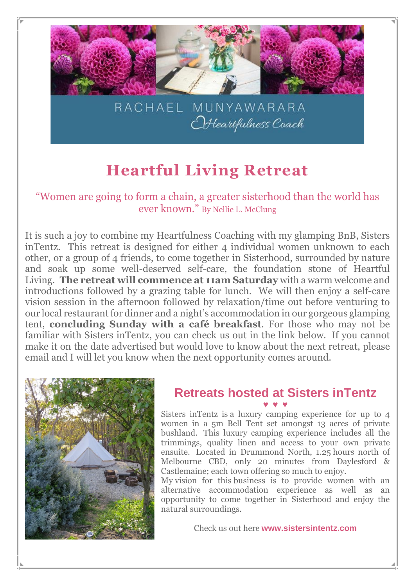

## **Heartful Living Retreat**

"Women are going to form a chain, a greater sisterhood than the world has ever known." By Nellie L. McClung

It is such a joy to combine my Heartfulness Coaching with my glamping BnB, Sisters inTentz. This retreat is designed for either 4 individual women unknown to each other, or a group of 4 friends, to come together in Sisterhood, surrounded by nature and soak up some well-deserved self-care, the foundation stone of Heartful Living. **The retreat will commence at 11am Saturday** with a warm welcome and introductions followed by a grazing table for lunch. We will then enjoy a self-care vision session in the afternoon followed by relaxation/time out before venturing to our local restaurant for dinner and a night's accommodation in our gorgeous glamping tent, **concluding Sunday with a café breakfast**. For those who may not be familiar with Sisters inTentz, you can check us out in the link below. If you cannot make it on the date advertised but would love to know about the next retreat, please email and I will let you know when the next opportunity comes around.



#### **Retreats hosted at Sisters inTentz ♥ ♥ ♥**

Sisters inTentz is a luxury camping experience for up to 4 women in a 5m Bell Tent set amongst 13 acres of private bushland. This luxury camping experience includes all the trimmings, quality linen and access to your own private ensuite. Located in Drummond North, 1.25 hours north of Melbourne CBD, only 20 minutes from Daylesford & Castlemaine; each town offering so much to enjoy.

My vision for this business is to provide women with an alternative accommodation experience as well as an opportunity to come together in Sisterhood and enjoy the natural surroundings.

Check us out here **[www.sistersintentz.com](http://www.sistersintentz.com/)**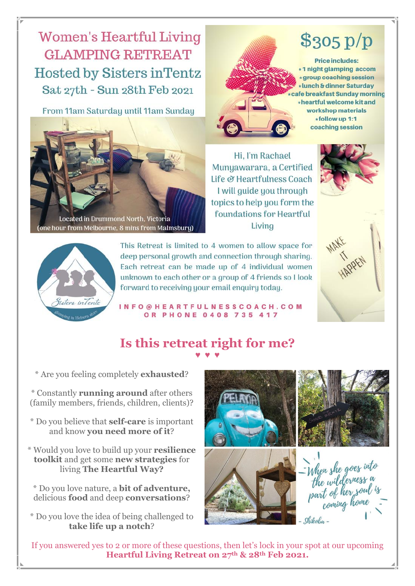### **Women's Heartful Living GLAMPING RETREAT Hosted by Sisters in Tentz** Sat 27th - Sun 28th Feb 2021

From 11am Saturday until 11am Sunday



Located in Drummond North, Victoria ne hour from Melbourne, 8 mins from M<mark>almsbury)</mark>

Hi, I'm Rachael Munyawarara, a Certified Life & Heartfulness Coach I will quide you through topics to help you form the foundations for Heartful Livina



 $$305 p/p$ 

**Price includes:** \*1 night glamping accom

\*group coaching session \*lunch & dinner Saturday

workshop materials \*follow up 1:1 coaching session

afe breakfast Sunday morning \*heartful welcome kit and



This Retreat is limited to 4 women to allow space for deep personal growth and connection through sharing. Each retreat can be made up of 4 individual women unknown to each other or a group of 4 friends so I look forward to receiving your email enquiry today.

INFO@HEARTFULNESSCOACH.COM **OR PHONE 0408 735 417** 



#### **Is this retreat right for me? ♥ ♥ ♥**

\* Are you feeling completely **exhausted**?

\* Constantly **running around** after others (family members, friends, children, clients)?

- \* Do you believe that **self-care** is important and know **you need more of it**?
- \* Would you love to build up your **resilience toolkit** and get some **new strategies** for living **The Heartful Way?**

\* Do you love nature, a **bit of adventure,** delicious **food** and deep **conversations**?

\* Do you love the idea of being challenged to **take life up a notch**?



If you answered yes to 2 or more of these questions, then let's lock in your spot at our upcoming **Heartful Living Retreat on 27th & 28th Feb 2021.**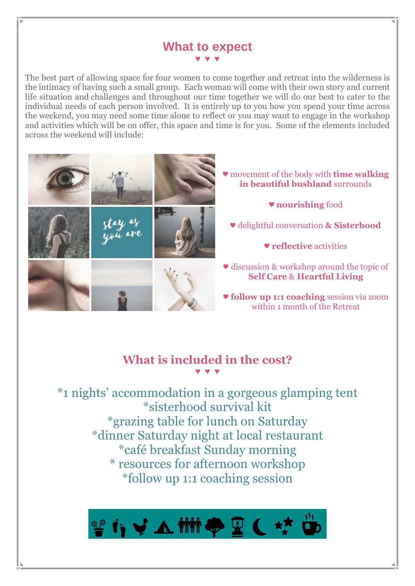#### **What to expect ♥ ♥ ♥**

The best part of allowing space for four women to come together and retreat into the wilderness is the intimacy of having such a small group. Each woman will come with their own story and current life situation and challenges and throughout our time together we will do our best to cater to the individual needs of each person involved. It is entirely up to you how you spend your time across the weekend, you may need some time alone to reflect or you may want to engage in the workshop and activities which will be on offer, this space and time is for you. Some of the elements included across the weekend will include:



#### **What is included in the cost? ♥ ♥ ♥**

\*1 nights' accommodation in a gorgeous glamping tent \*sisterhood survival kit \*grazing table for lunch on Saturday \*dinner Saturday night at local restaurant \*café breakfast Sunday morning \* resources for afternoon workshop \*follow up 1:1 coaching session